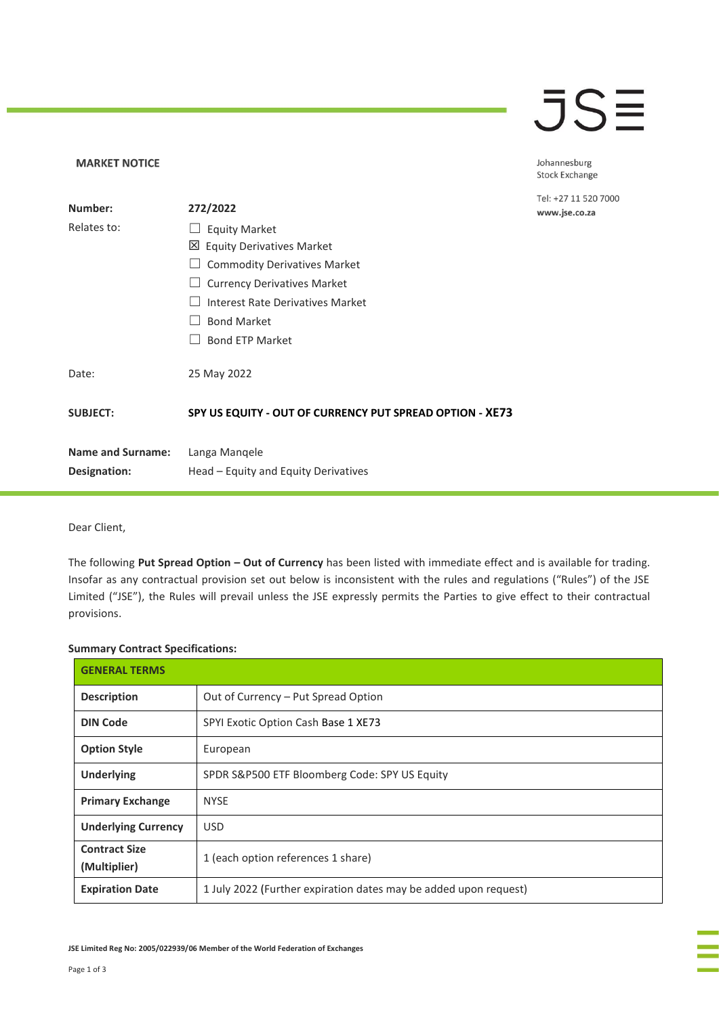## **JSE**

Johannesburg Stock Exchange

1 520 7000 .co.za

Dear Client,

**MARKET NOTICE** 

The following **Put Spread Option – Out of Currency** has been listed with immediate effect and is available for trading. Insofar as any contractual provision set out below is inconsistent with the rules and regulations ("Rules") of the JSE Limited ("JSE"), the Rules will prevail unless the JSE expressly permits the Parties to give effect to their contractual provisions.

## **Summary Contract Specifications:**

| <b>GENERAL TERMS</b>                 |                                                                  |  |
|--------------------------------------|------------------------------------------------------------------|--|
| <b>Description</b>                   | Out of Currency - Put Spread Option                              |  |
| <b>DIN Code</b>                      | SPYI Exotic Option Cash Base 1 XE73                              |  |
| <b>Option Style</b>                  | European                                                         |  |
| <b>Underlying</b>                    | SPDR S&P500 ETF Bloomberg Code: SPY US Equity                    |  |
| <b>Primary Exchange</b>              | <b>NYSE</b>                                                      |  |
| <b>Underlying Currency</b>           | <b>USD</b>                                                       |  |
| <b>Contract Size</b><br>(Multiplier) | 1 (each option references 1 share)                               |  |
| <b>Expiration Date</b>               | 1 July 2022 (Further expiration dates may be added upon request) |  |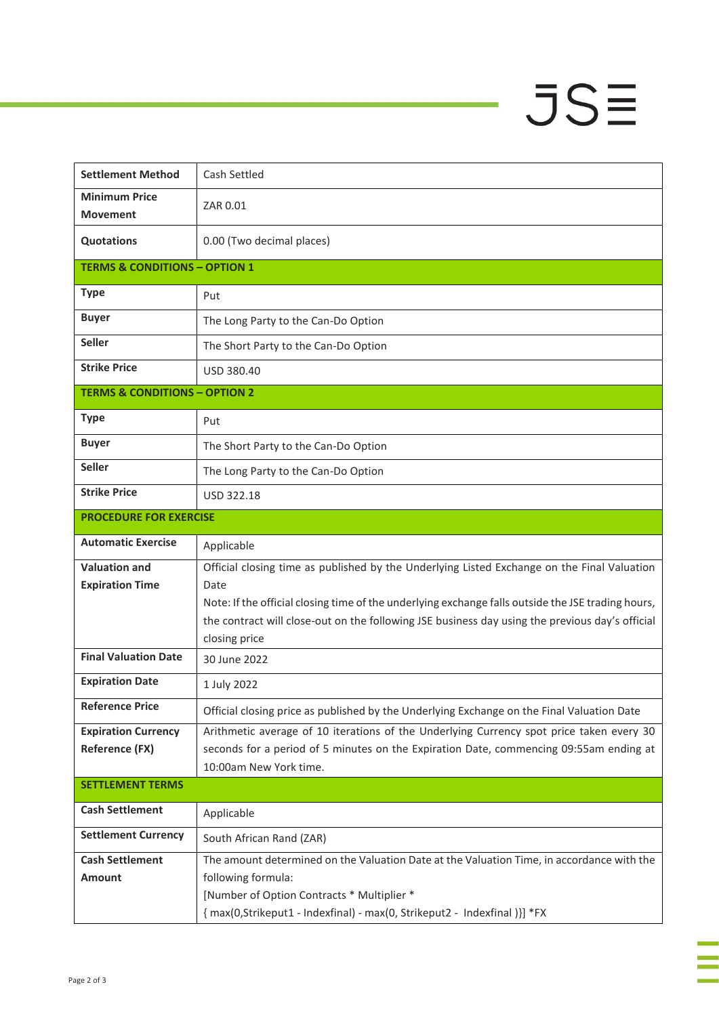## $JSE$

÷

à,

| <b>Settlement Method</b>                 | Cash Settled                                                                                       |  |
|------------------------------------------|----------------------------------------------------------------------------------------------------|--|
| <b>Minimum Price</b><br><b>Movement</b>  | ZAR 0.01                                                                                           |  |
| <b>Quotations</b>                        | 0.00 (Two decimal places)                                                                          |  |
| <b>TERMS &amp; CONDITIONS - OPTION 1</b> |                                                                                                    |  |
| <b>Type</b>                              | Put                                                                                                |  |
| <b>Buyer</b>                             | The Long Party to the Can-Do Option                                                                |  |
| <b>Seller</b>                            | The Short Party to the Can-Do Option                                                               |  |
| <b>Strike Price</b>                      | <b>USD 380.40</b>                                                                                  |  |
| <b>TERMS &amp; CONDITIONS - OPTION 2</b> |                                                                                                    |  |
| <b>Type</b>                              | Put                                                                                                |  |
| <b>Buyer</b>                             | The Short Party to the Can-Do Option                                                               |  |
| <b>Seller</b>                            | The Long Party to the Can-Do Option                                                                |  |
| <b>Strike Price</b>                      | <b>USD 322.18</b>                                                                                  |  |
| <b>PROCEDURE FOR EXERCISE</b>            |                                                                                                    |  |
| <b>Automatic Exercise</b>                | Applicable                                                                                         |  |
| <b>Valuation and</b>                     | Official closing time as published by the Underlying Listed Exchange on the Final Valuation        |  |
| <b>Expiration Time</b>                   | Date                                                                                               |  |
|                                          | Note: If the official closing time of the underlying exchange falls outside the JSE trading hours, |  |
|                                          | the contract will close-out on the following JSE business day using the previous day's official    |  |
| <b>Final Valuation Date</b>              | closing price                                                                                      |  |
|                                          | 30 June 2022                                                                                       |  |
| <b>Expiration Date</b>                   | 1 July 2022                                                                                        |  |
| <b>Reference Price</b>                   | Official closing price as published by the Underlying Exchange on the Final Valuation Date         |  |
| <b>Expiration Currency</b>               | Arithmetic average of 10 iterations of the Underlying Currency spot price taken every 30           |  |
| <b>Reference (FX)</b>                    | seconds for a period of 5 minutes on the Expiration Date, commencing 09:55am ending at             |  |
|                                          | 10:00am New York time.                                                                             |  |
| <b>SETTLEMENT TERMS</b>                  |                                                                                                    |  |
| <b>Cash Settlement</b>                   | Applicable                                                                                         |  |
| <b>Settlement Currency</b>               | South African Rand (ZAR)                                                                           |  |
| <b>Cash Settlement</b>                   | The amount determined on the Valuation Date at the Valuation Time, in accordance with the          |  |
| <b>Amount</b>                            | following formula:                                                                                 |  |
|                                          | [Number of Option Contracts * Multiplier *                                                         |  |
|                                          | {max(0,Strikeput1 - Indexfinal) - max(0, Strikeput2 - Indexfinal )}] *FX                           |  |